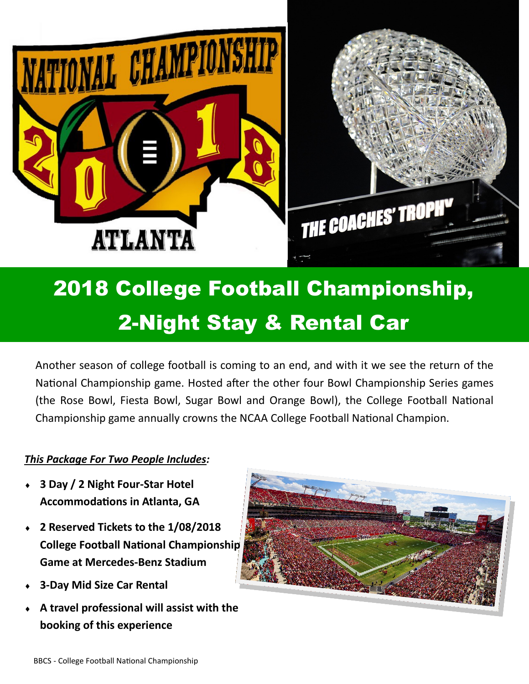

## 2018 College Football Championship, 2-Night Stay & Rental Car

Another season of college football is coming to an end, and with it we see the return of the National Championship game. Hosted after the other four Bowl Championship Series games (the Rose Bowl, Fiesta Bowl, Sugar Bowl and Orange Bowl), the College Football National Championship game annually crowns the NCAA College Football National Champion.

## *This Package For Two People Includes:*

- **3 Day / 2 Night Four-Star Hotel Accommodations in Atlanta, GA**
- **2 Reserved Tickets to the 1/08/2018 College Football National Championship Game at Mercedes-Benz Stadium**
- **3-Day Mid Size Car Rental**
- **A travel professional will assist with the booking of this experience**